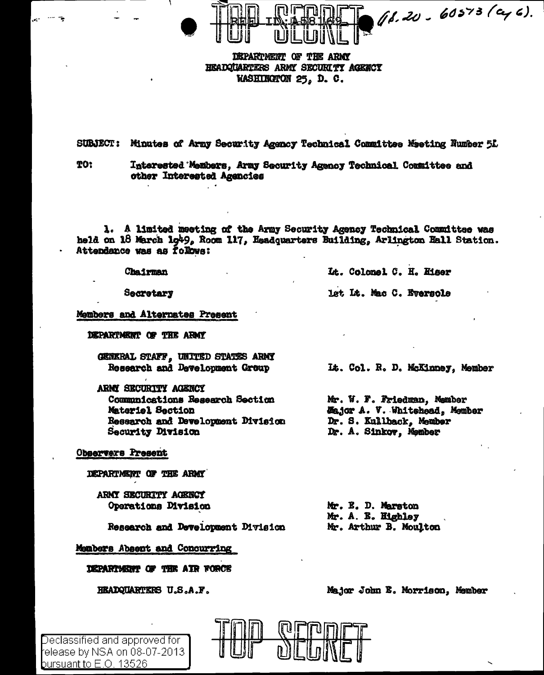

DEPARTMENT OF THE ARMY HEADQUARTERS ARMY SECURITY ACENCY WASHINGTON 25, D. C.

**SUBJECT:** Minutes of Army Security Agency Technical Committee Meeting Number 5L

**TO:** Interested Members, Army Security Agency Technical Committee and other Interested Agencies

1. A limited meeting of the Army Security Agency Technical Committee was held on 18 March 1g49, Room 117, Headquarters Building, Arlington Hall Station. Attendance was as follows:

Chairman

Secretary

Members and Alternates Present

DEPARTMENT OF THE ARMY

GENERAL STAFF, UNITED STATES ARMY Research and Development Group

ARMY SECURITY AGENCY Communications Research Section Materiel Section Research and Development Division Security Division

**Observers Present** 

Declassified and approved for l elease by NSA on 08-07-2013

bursuant to E.O. 13526

DEPARTMENT OF THE ARMY

ARMY SECURITY AGENCY Operations Division

Research and Development Division

Members Absent and Concurring

DEPARTMENT OF THE AIR FORCE

HEADQUARTERS U.S.A.F.

It. Colomel C. H. Hiser

let Lt. Mac C. Eversols

It. Col. R. D. McKinney, Member

Mr. W. F. Friedman, Member **Major A. V. Whitehead, Member** Dr. S. Kullback, Member Dr. A. Sinkov, Member

Mr. E. D. Marston Mr. A. E. Highley Mr. Arthur B. Moulton

Major John E. Morrison, Member

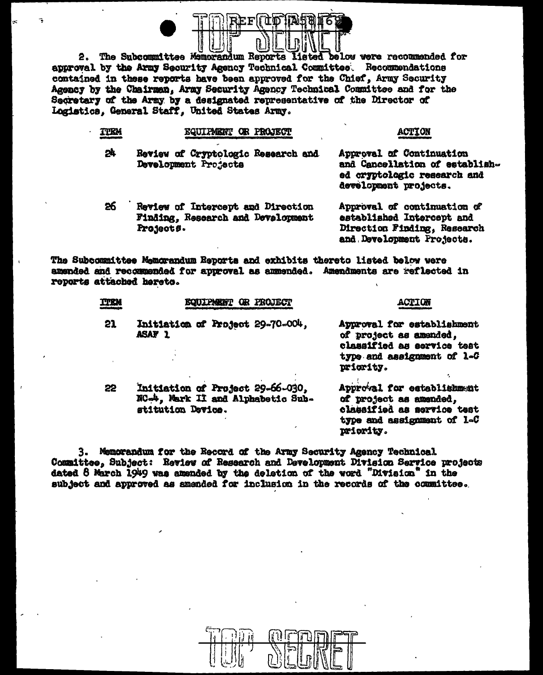

2. The Subcommittee Memorandum Reports listed below were recommended for approval by the Army Security Agency Technical Committee. Recommendations contained in these reports have been approved for the Chief. Army Security Agency by the Chairman, Army Security Agency Technical Committee and for the Secretary of the Army by a designated representative of the Director of Logistics, General Staff, United States Army.

| <b>TTEM</b> | EQUIPMENT OR PROJECT                                                                | <b>ACTION</b>                                                                                                        |
|-------------|-------------------------------------------------------------------------------------|----------------------------------------------------------------------------------------------------------------------|
| 57          | Review of Cryptologic Research and<br>Development Projects                          | Approval of Continuation<br>and Cancellation of establish-<br>ed cryptologic research and<br>development projects.   |
| 26          | Review of Intercept and Direction<br>Finding, Research and Development<br>Projects. | Approval of continuation of<br>established Intercept and<br>Direction Finding, Research<br>and Development Projects. |

The Subcommittee Memorandum Reports and exhibits thereto listed below were amended and recommended for approval as ammended. Amendments are reflected in reports attached hereto.

| ጥበህ | <b>EQUIPMENT OR PROJECT</b>                                                                | <b>ACTTOR</b>                                                                                                                 |
|-----|--------------------------------------------------------------------------------------------|-------------------------------------------------------------------------------------------------------------------------------|
| 21  | Initiation of Project 29-70-004,<br><b>ASAF 1</b>                                          | Approval for establishment<br>of project as amended,<br>classified as service teat<br>type and assignment of 1-G<br>priority. |
| 22  | Initiation of Project 29-66-030,<br>NC-4, Mark II and Alphabetic Sub-<br>stitution Device. | Approval for establishment<br>of project as amended,<br>classified as service test<br>type and assignment of 1-C<br>priority. |

3. Memorandum for the Record of the Army Security Agency Technical Committee, Subject: Review of Research and Development Division Service projects dated 8 March 1949 was amended by the deletion of the word "Division" in the subject and approved as amended for inclusion in the records of the committee.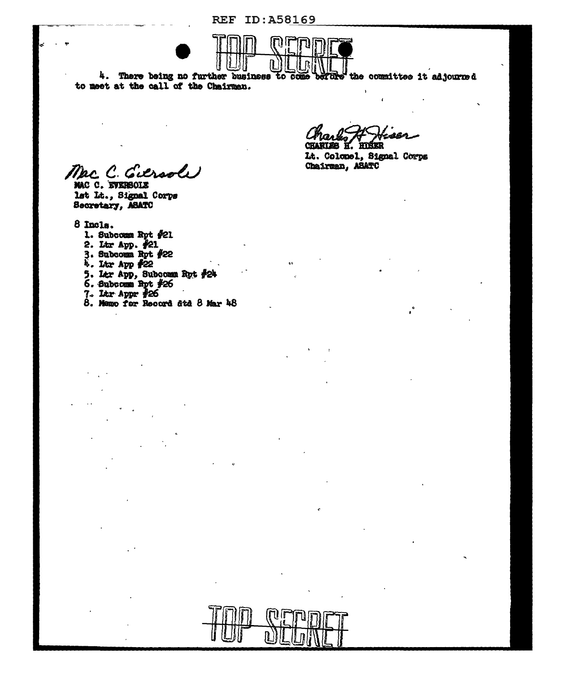**REF ID: A58169** 



4. There being no further business to come the committee it adjourned derare to meet at the call of the Chairman.

CHARLES H. HISER

Lt. Colonel, Signal Corps Chairman, ASATC

Mac C. Giersole MAC C. EVERSOLE

lst Lt., Signal Corps Secretary, ASATO

8 Incls.

- 1. Subcomm Rpt #21
- 2. Ltr App.  $\frac{1}{2}$ 21
- 3. Subcomm Rpt  $#22$ <br>4. Itr App  $#22$
- 
- 5. Ltr App, Subcomm Rpt #24<br>6. Subcomm Rpt #26
- 
- 
- 7. Ltr Appr #26<br>8. Memo for Record 8td 8 Mar 48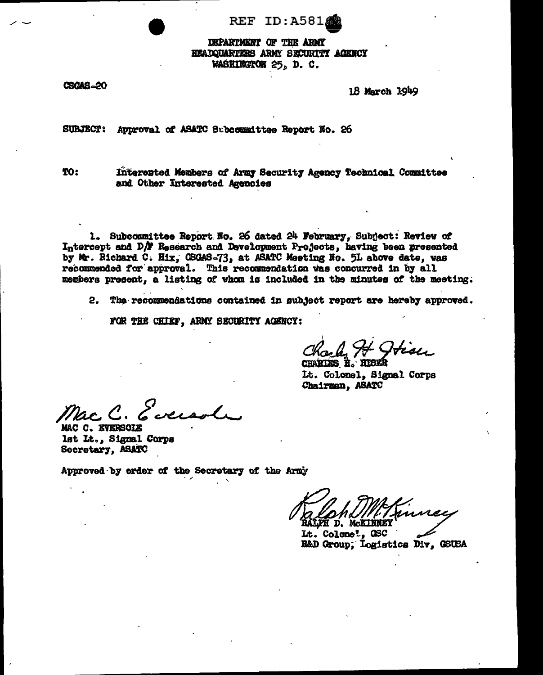REF ID:A581

DEPARTMENT OF THE ARMY HEADQUARTERS ARMY SECURITY AGENCY WASHINGTON 25, D. C.

**CSCAS-20** 

18 March 1949

SUBJECT: Approval of ASATC Subcommittee Report No. 26

TO:

Interested Members of Army Security Agency Technical Committee and Other Interested Agencies

1. Subcommittee Report No. 26 dated 24 February, Subject: Review of Intercept and D/F Research and Development Projects, having been presented by Mr. Richard C. Hix, CSGAS-73, at ASATC Meeting No. 5L above date, was recommended for approval. This recommendation was concurred in by all members present, a listing of whom is included in the minutes of the meeting.

2. The recommendations contained in subject report are hereby approved.

FOR THE CHIEF, ARMY SECURITY AGENCY:

Charles H. Otise

Lt. Colonel, Signal Corps Chairman, ASATC

Evered

MAC C. EVERSOLE lst Lt., Signal Corps Secretary, ASATC

Approved by order of the Secretary of the Army

Inunce RALPH D. McKlinkey

Lt. Colone<sup>l</sup>, GSC R&D Group, Logistics Div, GSUSA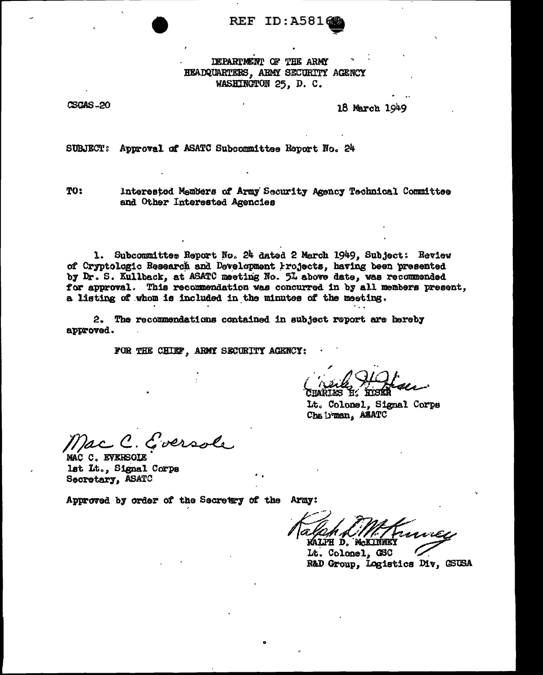**REF ID: A5816** 

DEPARTMENT OF THE ARMY HEADQUARTERS, ARMY SECURITY AGENCY WASHINGTON 25, D. C.

CSCAS-20

18 March 1949

SUBJECT: Approval of ASATC Subcommittee Report No. 24

TO:

Interested Members of Army Security Agency Technical Committee and Other Interested Agencies

1. Subcommittee Report No. 24 dated 2 March 1949, Subject: Review of Cryptologic Research and Development Projects, having been presented by Dr. S. Kullback, at ASATC meeting No. 5L above date, was recommended for approval. This recommendation was concurred in by all members present, a listing of whom is included in the minutes of the meeting.

2. The recommendations contained in subject report are hereby approved.

FOR THE CHIEF, ARMY SECORITY AGENCY:

*FARTES* 

Lt. Colonel, Signal Corps Chairman, ASATC

ac C. Eversole

MAC C. EVERSOLE lst Lt., Signal Corps Secretary, ASATO

Approved by order of the Secretry of the Army:

**WALPH D. M.KINNEY** 

Lt. Colonel, GSC R&D Group, Logistics Div, GSUSA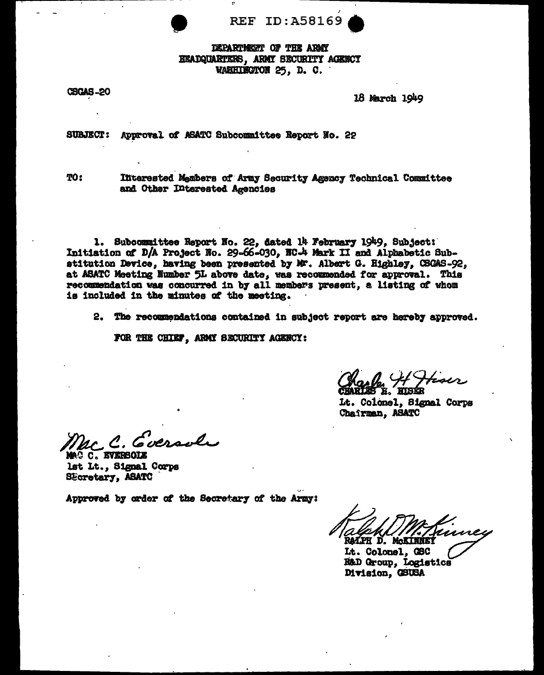

DEPARTMENT OF THE ARMY EEADQUARTERS, ARMY SECURITY AGENCY WARHINGTON 25, D. C.

**CSGAS-20** 

18 March 1949

**SUBJECT:** Approval of ASATC Subcommittee Report No. 22

**TO:** 

Iffterested Members of Army Security Agency Technical Committee and Other Interested Agencies

1. Subcommittee Report No. 22, dated 14 February 1949, Subject: Initiation of D/A Project No. 29-66-030, NC-4 Mark II and Alphabetic Substitution Device, having been presented by Mr. Albert G. Highley, CSGAS-92, at ASATC Meeting Number 5L above date, was recommended for approval. This recommendation was concurred in by all members present, a listing of whom is included in the minutes of the meeting.

2. The recommendations contained in subject report are hereby approved.

FOR THE CHIEF, ARMY SECURITY AGENCY:

Lt. Colonel, Signal Corps Chairman, ASATC

McC. Eversole

MAG C. EVERSOLE lst Lt., Signal Corps SEcretary, ASATC

Approved by order of the Secretary of the Army:

Trimes RAIPH D. MCKINNEY

Lt. Colonel. GSC R&D Group, Logistics Division, GSUSA